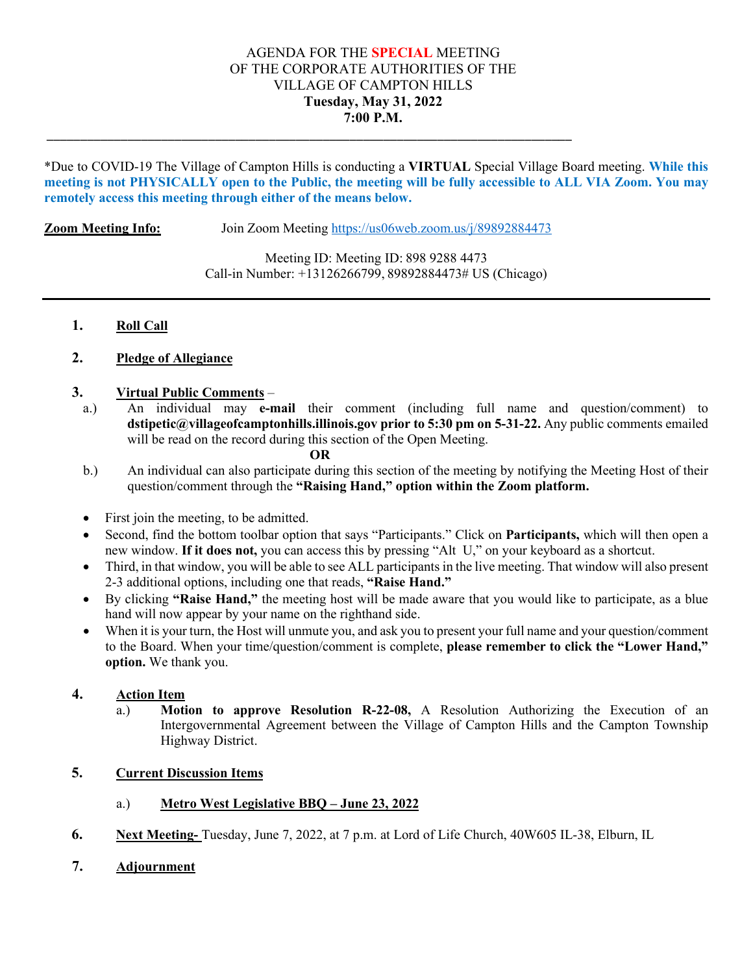# AGENDA FOR THE **SPECIAL** MEETING OF THE CORPORATE AUTHORITIES OF THE VILLAGE OF CAMPTON HILLS **Tuesday, May 31, 2022 7:00 P.M.**

\*Due to COVID-19 The Village of Campton Hills is conducting a **VIRTUAL** Special Village Board meeting. **While this meeting is not PHYSICALLY open to the Public, the meeting will be fully accessible to ALL VIA Zoom. You may remotely access this meeting through either of the means below.**

**Zoom Meeting Info:** Join Zoom Meeting<https://us06web.zoom.us/j/89892884473>

\_\_\_\_\_\_\_\_\_\_\_\_\_\_\_\_\_\_\_\_\_\_\_\_\_\_\_\_\_\_\_\_\_\_\_\_\_\_\_\_\_\_\_\_\_\_\_\_\_\_\_\_\_\_\_\_\_\_\_\_\_\_\_\_\_\_\_\_\_\_\_\_\_\_\_\_\_\_

Meeting ID: Meeting ID: 898 9288 4473 Call-in Number: +13126266799, 89892884473# US (Chicago)

### **1. Roll Call**

### **2. Pledge of Allegiance**

#### **3. Virtual Public Comments** –

a.) An individual may **e-mail** their comment (including full name and question/comment) to **dstipetic@villageofcamptonhills.illinois.gov prior to 5:30 pm on 5-31-22.** Any public comments emailed will be read on the record during this section of the Open Meeting.

#### **OR**

- b.) An individual can also participate during this section of the meeting by notifying the Meeting Host of their question/comment through the **"Raising Hand," option within the Zoom platform.**
- First join the meeting, to be admitted.
- Second, find the bottom toolbar option that says "Participants." Click on **Participants,** which will then open a new window. **If it does not,** you can access this by pressing "Alt U," on your keyboard as a shortcut.
- Third, in that window, you will be able to see ALL participants in the live meeting. That window will also present 2-3 additional options, including one that reads, **"Raise Hand."**
- By clicking **"Raise Hand,"** the meeting host will be made aware that you would like to participate, as a blue hand will now appear by your name on the righthand side.
- When it is your turn, the Host will unmute you, and ask you to present your full name and your question/comment to the Board. When your time/question/comment is complete, **please remember to click the "Lower Hand," option.** We thank you.

# **4. Action Item**

Motion to approve Resolution R-22-08, A Resolution Authorizing the Execution of an Intergovernmental Agreement between the Village of Campton Hills and the Campton Township Highway District.

# **5. Current Discussion Items**

#### a.) **Metro West Legislative BBQ – June 23, 2022**

**6. Next Meeting-** Tuesday, June 7, 2022, at 7 p.m. at Lord of Life Church, 40W605 IL-38, Elburn, IL

# **7. Adjournment**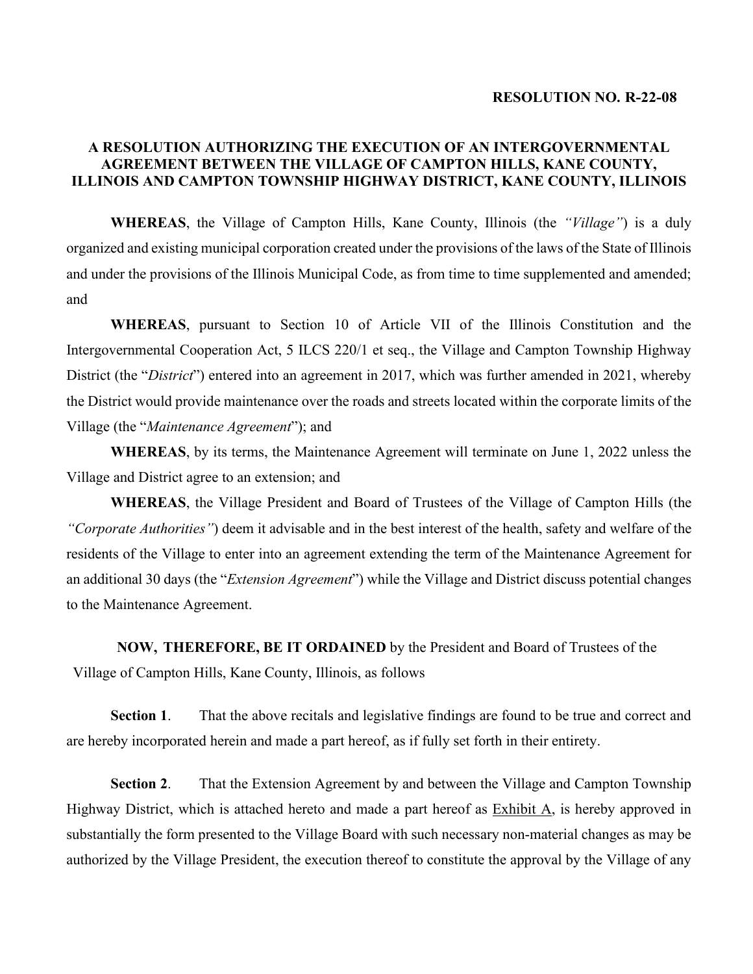#### **RESOLUTION NO. R-22-08**

# **A RESOLUTION AUTHORIZING THE EXECUTION OF AN INTERGOVERNMENTAL AGREEMENT BETWEEN THE VILLAGE OF CAMPTON HILLS, KANE COUNTY, ILLINOIS AND CAMPTON TOWNSHIP HIGHWAY DISTRICT, KANE COUNTY, ILLINOIS**

**WHEREAS**, the Village of Campton Hills, Kane County, Illinois (the *"Village"*) is a duly organized and existing municipal corporation created under the provisions of the laws of the State of Illinois and under the provisions of the Illinois Municipal Code, as from time to time supplemented and amended; and

**WHEREAS**, pursuant to Section 10 of Article VII of the Illinois Constitution and the Intergovernmental Cooperation Act, 5 ILCS 220/1 et seq., the Village and Campton Township Highway District (the "*District*") entered into an agreement in 2017, which was further amended in 2021, whereby the District would provide maintenance over the roads and streets located within the corporate limits of the Village (the "*Maintenance Agreement*"); and

**WHEREAS**, by its terms, the Maintenance Agreement will terminate on June 1, 2022 unless the Village and District agree to an extension; and

**WHEREAS**, the Village President and Board of Trustees of the Village of Campton Hills (the *"Corporate Authorities"*) deem it advisable and in the best interest of the health, safety and welfare of the residents of the Village to enter into an agreement extending the term of the Maintenance Agreement for an additional 30 days (the "*Extension Agreement*") while the Village and District discuss potential changes to the Maintenance Agreement.

**NOW, THEREFORE, BE IT ORDAINED** by the President and Board of Trustees of the Village of Campton Hills, Kane County, Illinois, as follows

**Section 1**. That the above recitals and legislative findings are found to be true and correct and are hereby incorporated herein and made a part hereof, as if fully set forth in their entirety.

**Section 2**. That the Extension Agreement by and between the Village and Campton Township Highway District, which is attached hereto and made a part hereof as Exhibit A, is hereby approved in substantially the form presented to the Village Board with such necessary non-material changes as may be authorized by the Village President, the execution thereof to constitute the approval by the Village of any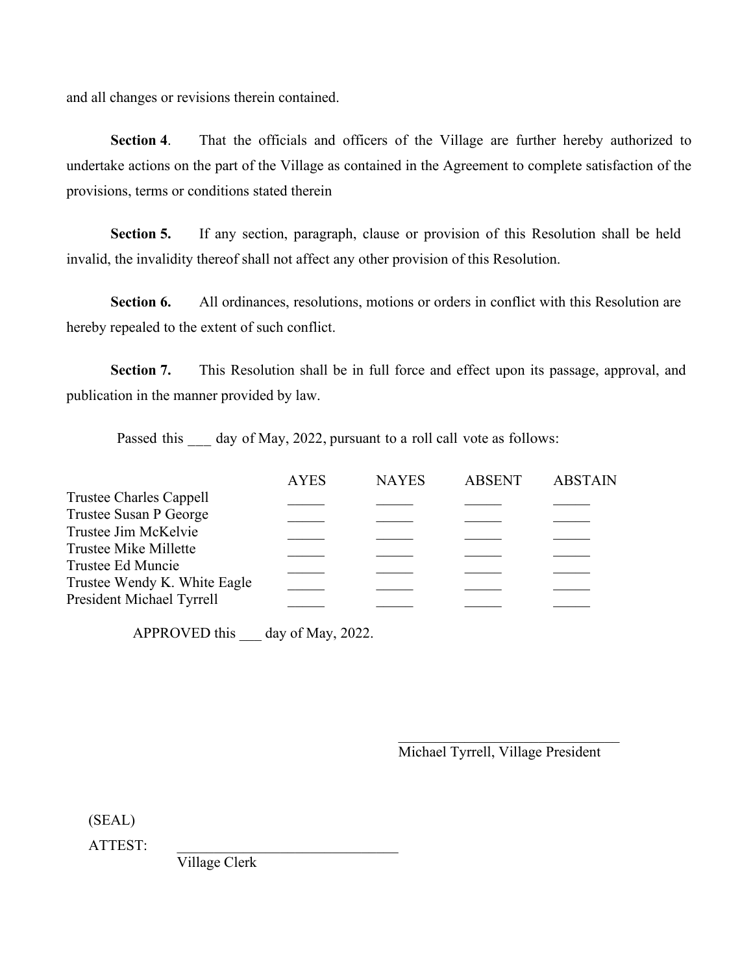and all changes or revisions therein contained.

**Section 4**. That the officials and officers of the Village are further hereby authorized to undertake actions on the part of the Village as contained in the Agreement to complete satisfaction of the provisions, terms or conditions stated therein

**Section 5.** If any section, paragraph, clause or provision of this Resolution shall be held invalid, the invalidity thereof shall not affect any other provision of this Resolution.

Section 6. All ordinances, resolutions, motions or orders in conflict with this Resolution are hereby repealed to the extent of such conflict.

**Section 7.** This Resolution shall be in full force and effect upon its passage, approval, and publication in the manner provided by law.

Passed this \_\_\_ day of May, 2022, pursuant to a roll call vote as follows:

|                                            | <b>AYES</b> | <b>NAYES</b> | <b>ABSENT</b> | <b>ABSTAIN</b> |
|--------------------------------------------|-------------|--------------|---------------|----------------|
| Trustee Charles Cappell                    |             |              |               |                |
| Trustee Susan P George                     |             |              |               |                |
| Trustee Jim McKelvie                       |             |              |               |                |
| Trustee Mike Millette<br>Trustee Ed Muncie |             |              |               |                |
| Trustee Wendy K. White Eagle               |             |              |               |                |
| President Michael Tyrrell                  |             |              |               |                |
|                                            |             |              |               |                |

APPROVED this \_\_\_ day of May, 2022.

\_\_\_\_\_\_\_\_\_\_\_\_\_\_\_\_\_\_\_\_\_\_\_\_\_\_\_\_\_\_ Michael Tyrrell, Village President

(SEAL)

ATTEST:

Village Clerk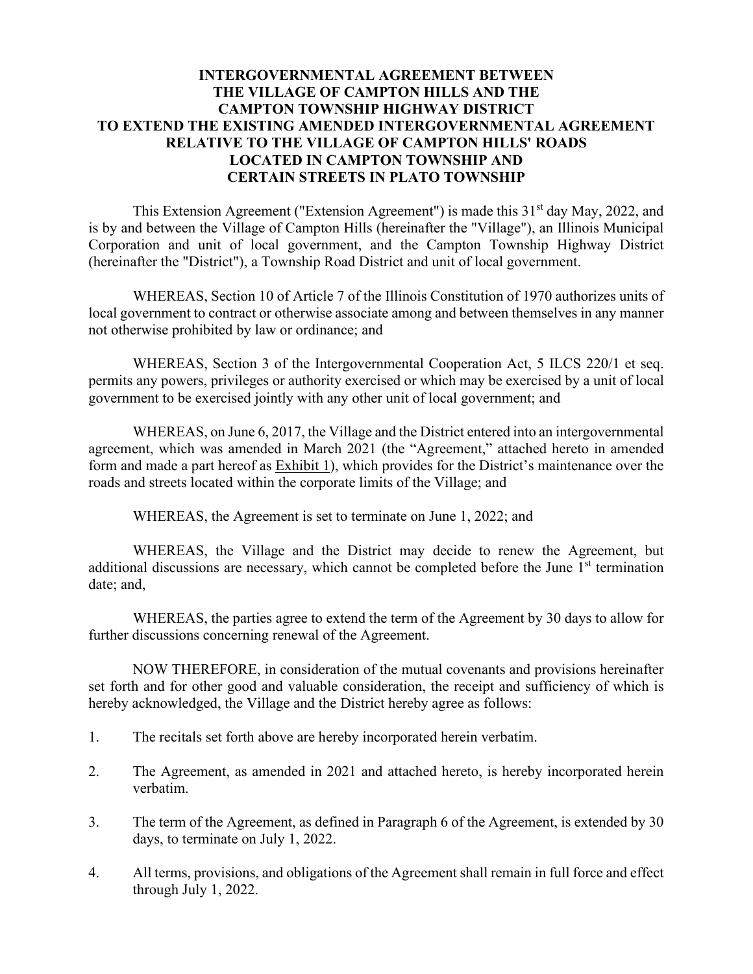# **INTERGOVERNMENTAL AGREEMENT BETWEEN THE VILLAGE OF CAMPTON HILLS AND THE CAMPTON TOWNSHIP HIGHWAY DISTRICT TO EXTEND THE EXISTING AMENDED INTERGOVERNMENTAL AGREEMENT RELATIVE TO THE VILLAGE OF CAMPTON HILLS' ROADS LOCATED IN CAMPTON TOWNSHIP AND CERTAIN STREETS IN PLATO TOWNSHIP**

This Extension Agreement ("Extension Agreement") is made this  $31<sup>st</sup>$  day May, 2022, and is by and between the Village of Campton Hills (hereinafter the "Village"), an Illinois Municipal Corporation and unit of local government, and the Campton Township Highway District (hereinafter the "District"), a Township Road District and unit of local government.

WHEREAS, Section 10 of Article 7 of the Illinois Constitution of 1970 authorizes units of local government to contract or otherwise associate among and between themselves in any manner not otherwise prohibited by law or ordinance; and

WHEREAS, Section 3 of the Intergovernmental Cooperation Act, 5 ILCS 220/1 et seq. permits any powers, privileges or authority exercised or which may be exercised by a unit of local government to be exercised jointly with any other unit of local government; and

WHEREAS, on June 6, 2017, the Village and the District entered into an intergovernmental agreement, which was amended in March 2021 (the "Agreement," attached hereto in amended form and made a part hereof as  $Exhibit 1$ , which provides for the District's maintenance over the roads and streets located within the corporate limits of the Village; and

WHEREAS, the Agreement is set to terminate on June 1, 2022; and

WHEREAS, the Village and the District may decide to renew the Agreement, but additional discussions are necessary, which cannot be completed before the June  $1<sup>st</sup>$  termination date; and,

WHEREAS, the parties agree to extend the term of the Agreement by 30 days to allow for further discussions concerning renewal of the Agreement.

NOW THEREFORE, in consideration of the mutual covenants and provisions hereinafter set forth and for other good and valuable consideration, the receipt and sufficiency of which is hereby acknowledged, the Village and the District hereby agree as follows:

- 1. The recitals set forth above are hereby incorporated herein verbatim.
- 2. The Agreement, as amended in 2021 and attached hereto, is hereby incorporated herein verbatim.
- 3. The term of the Agreement, as defined in Paragraph 6 of the Agreement, is extended by 30 days, to terminate on July 1, 2022.
- 4. All terms, provisions, and obligations of the Agreement shall remain in full force and effect through July 1, 2022.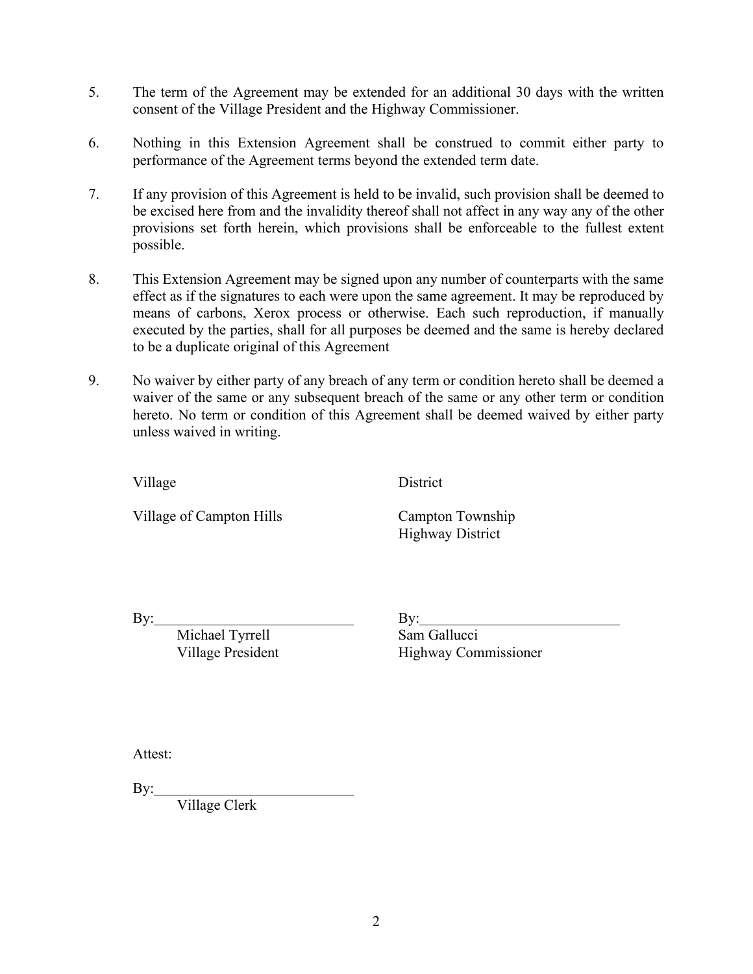- 5. The term of the Agreement may be extended for an additional 30 days with the written consent of the Village President and the Highway Commissioner.
- 6. Nothing in this Extension Agreement shall be construed to commit either party to performance of the Agreement terms beyond the extended term date.
- 7. If any provision of this Agreement is held to be invalid, such provision shall be deemed to be excised here from and the invalidity thereof shall not affect in any way any of the other provisions set forth herein, which provisions shall be enforceable to the fullest extent possible.
- 8. This Extension Agreement may be signed upon any number of counterparts with the same effect as if the signatures to each were upon the same agreement. It may be reproduced by means of carbons, Xerox process or otherwise. Each such reproduction, if manually executed by the parties, shall for all purposes be deemed and the same is hereby declared to be a duplicate original of this Agreement
- 9. No waiver by either party of any breach of any term or condition hereto shall be deemed a waiver of the same or any subsequent breach of the same or any other term or condition hereto. No term or condition of this Agreement shall be deemed waived by either party unless waived in writing.

Village District

Village of Campton Hills Campton Township

Highway District

By: By: By:

Michael Tyrrell Sam Gallucci

Village President Highway Commissioner

Attest:

 $By:$ 

Village Clerk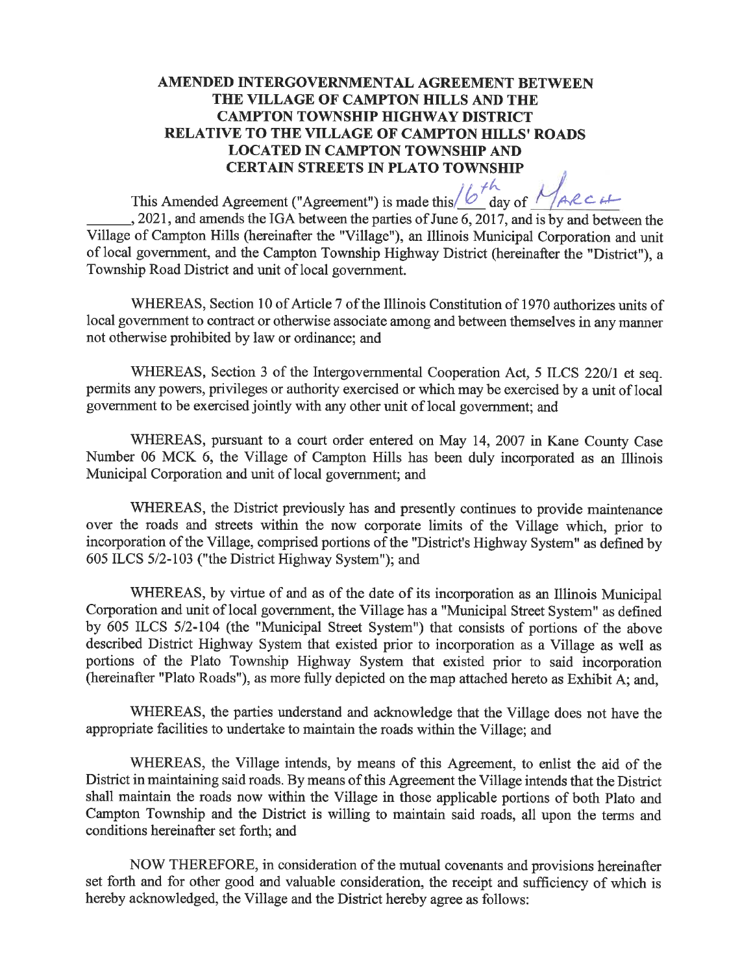# AMENDED INTERGOVERNMENTAL AGREEMENT BETWEEN THE VILLAGE OF CAMPTON HILLS AND THE **CAMPTON TOWNSHIP HIGHWAY DISTRICT RELATIVE TO THE VILLAGE OF CAMPTON HILLS' ROADS LOCATED IN CAMPTON TOWNSHIP AND CERTAIN STREETS IN PLATO TOWNSHIP**

This Amended Agreement ("Agreement") is made this  $/6<sup>th</sup>$  day of  $1/44c$  c  $+$  $, 2021$ , and amends the IGA between the parties of June 6, 2017, and is by and between the

Village of Campton Hills (hereinafter the "Village"), an Illinois Municipal Corporation and unit of local government, and the Campton Township Highway District (hereinafter the "District"), a Township Road District and unit of local government.

WHEREAS, Section 10 of Article 7 of the Illinois Constitution of 1970 authorizes units of local government to contract or otherwise associate among and between themselves in any manner not otherwise prohibited by law or ordinance; and

WHEREAS, Section 3 of the Intergovernmental Cooperation Act, 5 ILCS 220/1 et seq. permits any powers, privileges or authority exercised or which may be exercised by a unit of local government to be exercised jointly with any other unit of local government; and

WHEREAS, pursuant to a court order entered on May 14, 2007 in Kane County Case Number 06 MCK 6, the Village of Campton Hills has been duly incorporated as an Illinois Municipal Corporation and unit of local government; and

WHEREAS, the District previously has and presently continues to provide maintenance over the roads and streets within the now corporate limits of the Village which, prior to incorporation of the Village, comprised portions of the "District's Highway System" as defined by 605 ILCS 5/2-103 ("the District Highway System"); and

WHEREAS, by virtue of and as of the date of its incorporation as an Illinois Municipal Corporation and unit of local government, the Village has a "Municipal Street System" as defined by 605 ILCS 5/2-104 (the "Municipal Street System") that consists of portions of the above described District Highway System that existed prior to incorporation as a Village as well as portions of the Plato Township Highway System that existed prior to said incorporation (hereinafter "Plato Roads"), as more fully depicted on the map attached hereto as Exhibit A; and,

WHEREAS, the parties understand and acknowledge that the Village does not have the appropriate facilities to undertake to maintain the roads within the Village; and

WHEREAS, the Village intends, by means of this Agreement, to enlist the aid of the District in maintaining said roads. By means of this Agreement the Village intends that the District shall maintain the roads now within the Village in those applicable portions of both Plato and Campton Township and the District is willing to maintain said roads, all upon the terms and conditions hereinafter set forth; and

NOW THEREFORE, in consideration of the mutual covenants and provisions hereinafter set forth and for other good and valuable consideration, the receipt and sufficiency of which is hereby acknowledged, the Village and the District hereby agree as follows: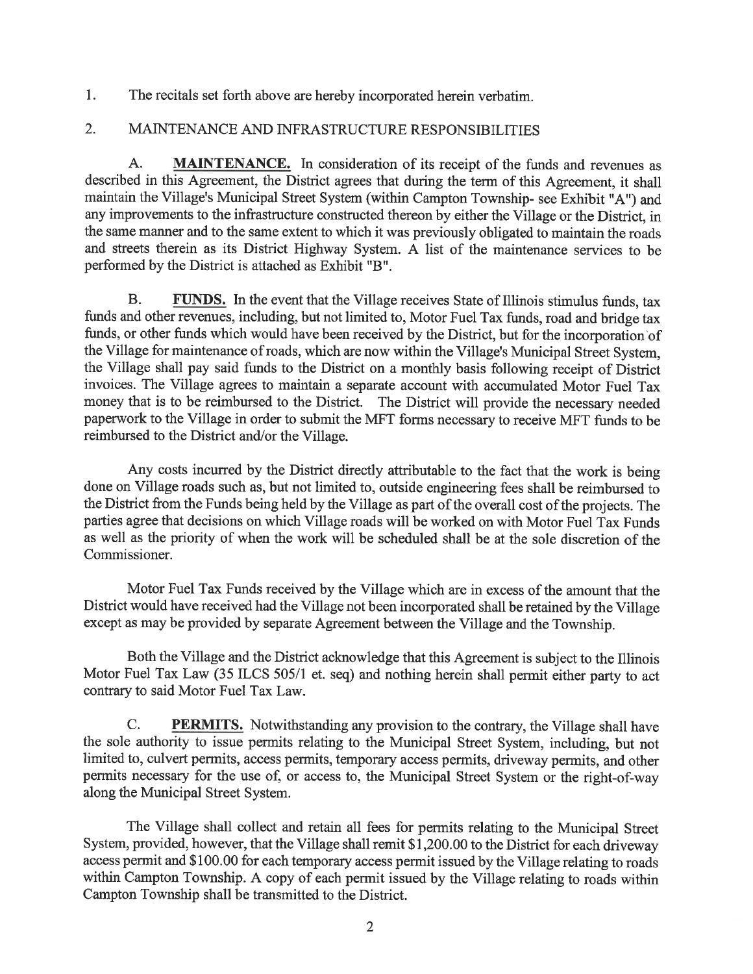$1<sub>1</sub>$ The recitals set forth above are hereby incorporated herein verbatim.

#### $\overline{2}$ . MAINTENANCE AND INFRASTRUCTURE RESPONSIBILITIES

 $A<sub>1</sub>$ **MAINTENANCE.** In consideration of its receipt of the funds and revenues as described in this Agreement, the District agrees that during the term of this Agreement, it shall maintain the Village's Municipal Street System (within Campton Township- see Exhibit "A") and any improvements to the infrastructure constructed thereon by either the Village or the District, in the same manner and to the same extent to which it was previously obligated to maintain the roads and streets therein as its District Highway System. A list of the maintenance services to be performed by the District is attached as Exhibit "B".

**B. FUNDS.** In the event that the Village receives State of Illinois stimulus funds, tax funds and other revenues, including, but not limited to, Motor Fuel Tax funds, road and bridge tax funds, or other funds which would have been received by the District, but for the incorporation of the Village for maintenance of roads, which are now within the Village's Municipal Street System, the Village shall pay said funds to the District on a monthly basis following receipt of District invoices. The Village agrees to maintain a separate account with accumulated Motor Fuel Tax money that is to be reimbursed to the District. The District will provide the necessary needed paperwork to the Village in order to submit the MFT forms necessary to receive MFT funds to be reimbursed to the District and/or the Village.

Any costs incurred by the District directly attributable to the fact that the work is being done on Village roads such as, but not limited to, outside engineering fees shall be reimbursed to the District from the Funds being held by the Village as part of the overall cost of the projects. The parties agree that decisions on which Village roads will be worked on with Motor Fuel Tax Funds as well as the priority of when the work will be scheduled shall be at the sole discretion of the Commissioner.

Motor Fuel Tax Funds received by the Village which are in excess of the amount that the District would have received had the Village not been incorporated shall be retained by the Village except as may be provided by separate Agreement between the Village and the Township.

Both the Village and the District acknowledge that this Agreement is subject to the Illinois Motor Fuel Tax Law (35 ILCS 505/1 et. seq) and nothing herein shall permit either party to act contrary to said Motor Fuel Tax Law.

 $\mathbf{C}$ . **PERMITS.** Notwithstanding any provision to the contrary, the Village shall have the sole authority to issue permits relating to the Municipal Street System, including, but not limited to, culvert permits, access permits, temporary access permits, driveway permits, and other permits necessary for the use of, or access to, the Municipal Street System or the right-of-way along the Municipal Street System.

The Village shall collect and retain all fees for permits relating to the Municipal Street System, provided, however, that the Village shall remit \$1,200.00 to the District for each driveway access permit and \$100.00 for each temporary access permit issued by the Village relating to roads within Campton Township. A copy of each permit issued by the Village relating to roads within Campton Township shall be transmitted to the District.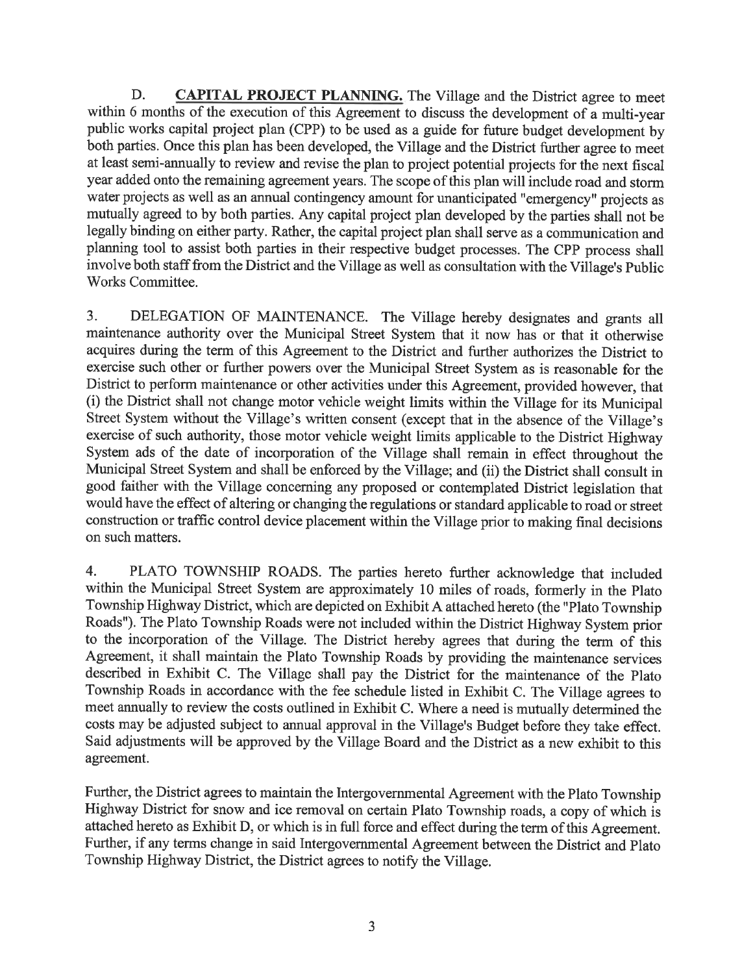D. **CAPITAL PROJECT PLANNING.** The Village and the District agree to meet within 6 months of the execution of this Agreement to discuss the development of a multi-year public works capital project plan (CPP) to be used as a guide for future budget development by both parties. Once this plan has been developed, the Village and the District further agree to meet at least semi-annually to review and revise the plan to project potential projects for the next fiscal year added onto the remaining agreement years. The scope of this plan will include road and storm water projects as well as an annual contingency amount for unanticipated "emergency" projects as mutually agreed to by both parties. Any capital project plan developed by the parties shall not be legally binding on either party. Rather, the capital project plan shall serve as a communication and planning tool to assist both parties in their respective budget processes. The CPP process shall involve both staff from the District and the Village as well as consultation with the Village's Public Works Committee.

DELEGATION OF MAINTENANCE. The Village hereby designates and grants all  $3.$ maintenance authority over the Municipal Street System that it now has or that it otherwise acquires during the term of this Agreement to the District and further authorizes the District to exercise such other or further powers over the Municipal Street System as is reasonable for the District to perform maintenance or other activities under this Agreement, provided however, that (i) the District shall not change motor vehicle weight limits within the Village for its Municipal Street System without the Village's written consent (except that in the absence of the Village's exercise of such authority, those motor vehicle weight limits applicable to the District Highway System ads of the date of incorporation of the Village shall remain in effect throughout the Municipal Street System and shall be enforced by the Village; and (ii) the District shall consult in good faither with the Village concerning any proposed or contemplated District legislation that would have the effect of altering or changing the regulations or standard applicable to road or street construction or traffic control device placement within the Village prior to making final decisions on such matters.

 $\overline{4}$ . PLATO TOWNSHIP ROADS. The parties hereto further acknowledge that included within the Municipal Street System are approximately 10 miles of roads, formerly in the Plato Township Highway District, which are depicted on Exhibit A attached hereto (the "Plato Township Roads"). The Plato Township Roads were not included within the District Highway System prior to the incorporation of the Village. The District hereby agrees that during the term of this Agreement, it shall maintain the Plato Township Roads by providing the maintenance services described in Exhibit C. The Village shall pay the District for the maintenance of the Plato Township Roads in accordance with the fee schedule listed in Exhibit C. The Village agrees to meet annually to review the costs outlined in Exhibit C. Where a need is mutually determined the costs may be adjusted subject to annual approval in the Village's Budget before they take effect. Said adjustments will be approved by the Village Board and the District as a new exhibit to this agreement.

Further, the District agrees to maintain the Intergovernmental Agreement with the Plato Township Highway District for snow and ice removal on certain Plato Township roads, a copy of which is attached hereto as Exhibit D, or which is in full force and effect during the term of this Agreement. Further, if any terms change in said Intergovernmental Agreement between the District and Plato Township Highway District, the District agrees to notify the Village.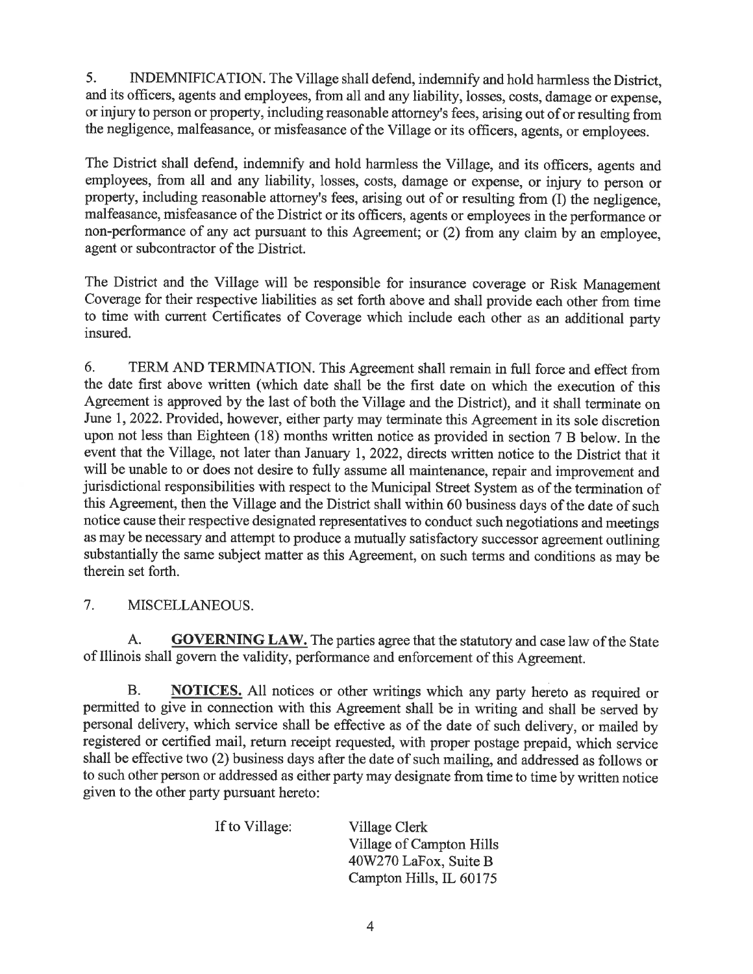$5<sub>1</sub>$ INDEMNIFICATION. The Village shall defend, indemnify and hold harmless the District, and its officers, agents and employees, from all and any liability, losses, costs, damage or expense. or injury to person or property, including reasonable attorney's fees, arising out of or resulting from the negligence, malfeasance, or misfeasance of the Village or its officers, agents, or employees.

The District shall defend, indemnify and hold harmless the Village, and its officers, agents and employees, from all and any liability, losses, costs, damage or expense, or injury to person or property, including reasonable attorney's fees, arising out of or resulting from (I) the negligence, malfeasance, misfeasance of the District or its officers, agents or employees in the performance or non-performance of any act pursuant to this Agreement; or (2) from any claim by an employee, agent or subcontractor of the District.

The District and the Village will be responsible for insurance coverage or Risk Management Coverage for their respective liabilities as set forth above and shall provide each other from time to time with current Certificates of Coverage which include each other as an additional party insured.

6. TERM AND TERMINATION. This Agreement shall remain in full force and effect from the date first above written (which date shall be the first date on which the execution of this Agreement is approved by the last of both the Village and the District), and it shall terminate on June 1, 2022. Provided, however, either party may terminate this Agreement in its sole discretion upon not less than Eighteen (18) months written notice as provided in section 7 B below. In the event that the Village, not later than January 1, 2022, directs written notice to the District that it will be unable to or does not desire to fully assume all maintenance, repair and improvement and jurisdictional responsibilities with respect to the Municipal Street System as of the termination of this Agreement, then the Village and the District shall within 60 business days of the date of such notice cause their respective designated representatives to conduct such negotiations and meetings as may be necessary and attempt to produce a mutually satisfactory successor agreement outlining substantially the same subject matter as this Agreement, on such terms and conditions as may be therein set forth.

 $7<sub>1</sub>$ MISCELLANEOUS.

**GOVERNING LAW.** The parties agree that the statutory and case law of the State A. of Illinois shall govern the validity, performance and enforcement of this Agreement.

**NOTICES.** All notices or other writings which any party hereto as required or **B.** permitted to give in connection with this Agreement shall be in writing and shall be served by personal delivery, which service shall be effective as of the date of such delivery, or mailed by registered or certified mail, return receipt requested, with proper postage prepaid, which service shall be effective two (2) business days after the date of such mailing, and addressed as follows or to such other person or addressed as either party may designate from time to time by written notice given to the other party pursuant hereto:

| If to Village: | Village Clerk            |
|----------------|--------------------------|
|                | Village of Campton Hills |
|                | 40W270 LaFox, Suite B    |
|                | Campton Hills, IL 60175  |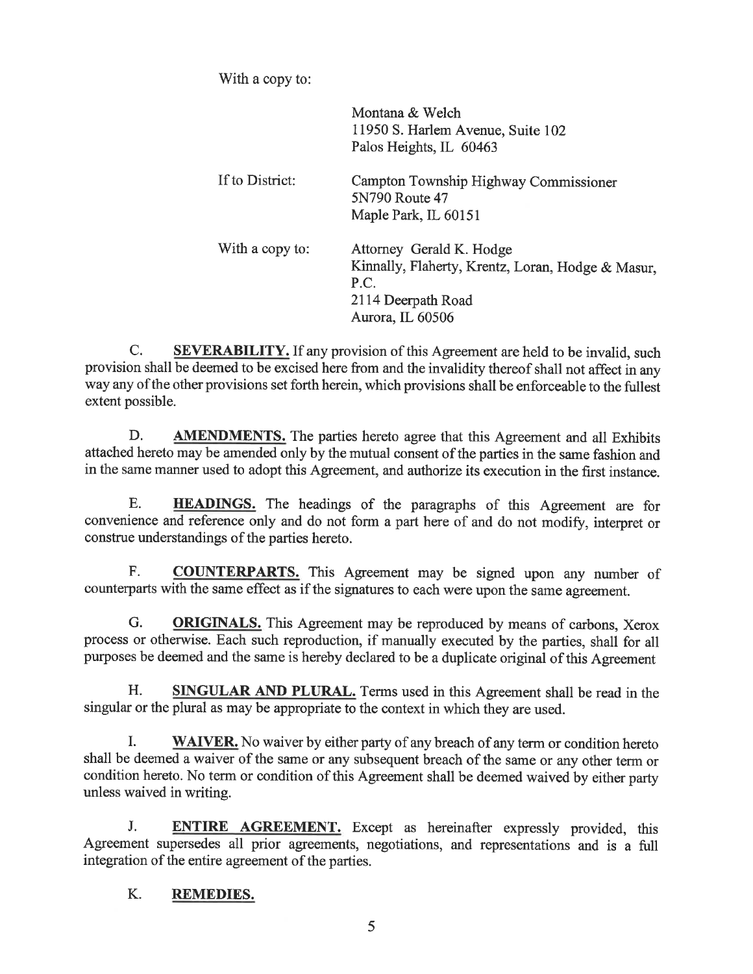With a copy to:

|                 | Montana & Welch<br>11950 S. Harlem Avenue, Suite 102<br>Palos Heights, IL 60463                                                 |
|-----------------|---------------------------------------------------------------------------------------------------------------------------------|
| If to District: | Campton Township Highway Commissioner<br>5N790 Route 47<br>Maple Park, IL 60151                                                 |
| With a copy to: | Attorney Gerald K. Hodge<br>Kinnally, Flaherty, Krentz, Loran, Hodge & Masur,<br>P.C.<br>2114 Deerpath Road<br>Aurora, IL 60506 |

 $C_{\cdot}$ **SEVERABILITY.** If any provision of this Agreement are held to be invalid, such provision shall be deemed to be excised here from and the invalidity thereof shall not affect in any way any of the other provisions set forth herein, which provisions shall be enforceable to the fullest extent possible.

D. **AMENDMENTS.** The parties hereto agree that this Agreement and all Exhibits attached hereto may be amended only by the mutual consent of the parties in the same fashion and in the same manner used to adopt this Agreement, and authorize its execution in the first instance.

E. **HEADINGS.** The headings of the paragraphs of this Agreement are for convenience and reference only and do not form a part here of and do not modify, interpret or construe understandings of the parties hereto.

F. **COUNTERPARTS.** This Agreement may be signed upon any number of counterparts with the same effect as if the signatures to each were upon the same agreement.

G. **ORIGINALS.** This Agreement may be reproduced by means of carbons, Xerox process or otherwise. Each such reproduction, if manually executed by the parties, shall for all purposes be deemed and the same is hereby declared to be a duplicate original of this Agreement

H. SINGULAR AND PLURAL. Terms used in this Agreement shall be read in the singular or the plural as may be appropriate to the context in which they are used.

Ī. **WAIVER.** No waiver by either party of any breach of any term or condition hereto shall be deemed a waiver of the same or any subsequent breach of the same or any other term or condition hereto. No term or condition of this Agreement shall be deemed waived by either party unless waived in writing.

J. **ENTIRE AGREEMENT.** Except as hereinafter expressly provided, this Agreement supersedes all prior agreements, negotiations, and representations and is a full integration of the entire agreement of the parties.

#### K. **REMEDIES.**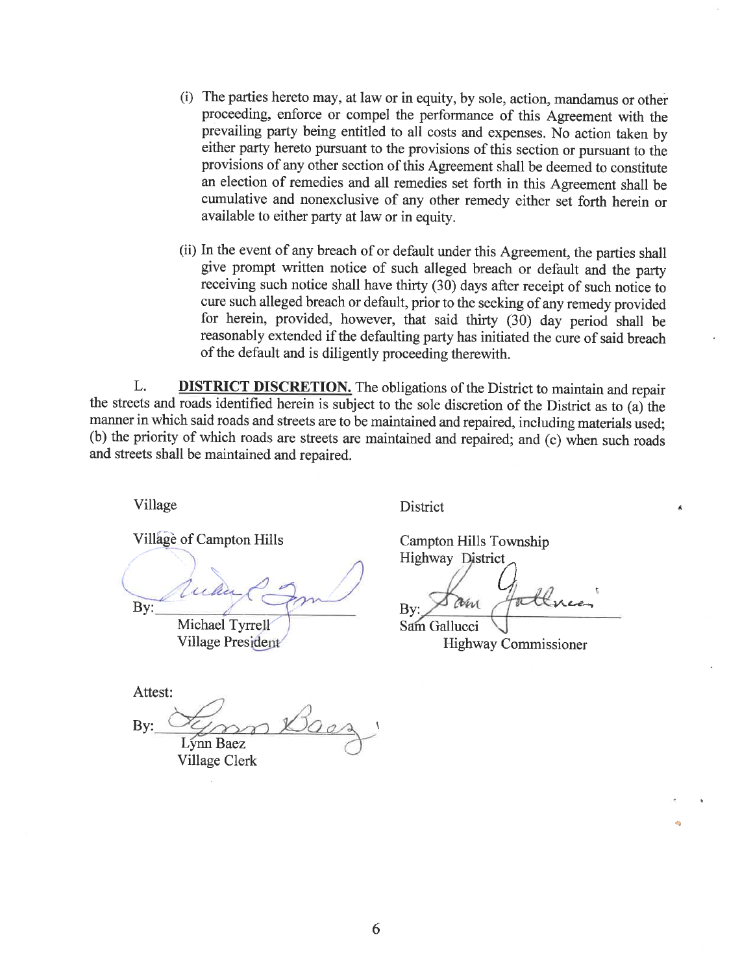- (i) The parties hereto may, at law or in equity, by sole, action, mandamus or other proceeding, enforce or compel the performance of this Agreement with the prevailing party being entitled to all costs and expenses. No action taken by either party hereto pursuant to the provisions of this section or pursuant to the provisions of any other section of this Agreement shall be deemed to constitute an election of remedies and all remedies set forth in this Agreement shall be cumulative and nonexclusive of any other remedy either set forth herein or available to either party at law or in equity.
- (ii) In the event of any breach of or default under this Agreement, the parties shall give prompt written notice of such alleged breach or default and the party receiving such notice shall have thirty (30) days after receipt of such notice to cure such alleged breach or default, prior to the seeking of any remedy provided for herein, provided, however, that said thirty (30) day period shall be reasonably extended if the defaulting party has initiated the cure of said breach of the default and is diligently proceeding therewith.

**DISTRICT DISCRETION.** The obligations of the District to maintain and repair L. the streets and roads identified herein is subject to the sole discretion of the District as to (a) the manner in which said roads and streets are to be maintained and repaired, including materials used; (b) the priority of which roads are streets are maintained and repaired; and (c) when such roads and streets shall be maintained and repaired.

Village

Village of Campton Hills

By: Michael Tyrrell

**Village President** 

Attest: Bv: Lynn Baez Village Clerk

**District** 

Campton Hills Township **Highway District** 

the ree **B**v

 $\vec{A}$ 

Sam Gallucci **Highway Commissioner**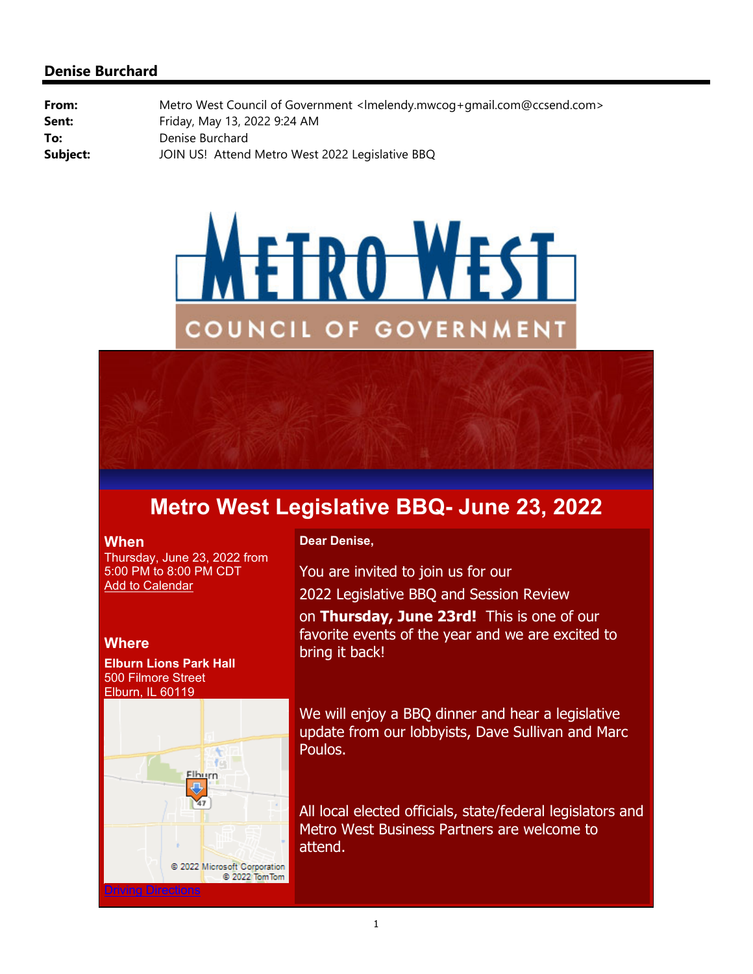# **Denise Burchard**

**From:** Metro West Council of Government <lmelendy.mwcog+gmail.com@ccsend.com> **Sent:** Friday, May 13, 2022 9:24 AM **To:** Denise Burchard **Subject:** JOIN US! Attend Metro West 2022 Legislative BBQ





#### **When**

Thursday, June 23, 2022 from 5:00 PM to 8:00 PM CDT **Add to Calendar** 

**Where**

**Elburn Lions Park Hall** 500 Filmore Street Elburn, IL 60119



#### **Dear Denise,**

You are invited to join us for our 2022 Legislative BBQ and Session Review on **Thursday, June 23rd!** This is one of our favorite events of the year and we are excited to bring it back!

We will enjoy a BBQ dinner and hear a legislative update from our lobbyists, Dave Sullivan and Marc Poulos.

All local elected officials, state/federal legislators and Metro West Business Partners are welcome to attend.